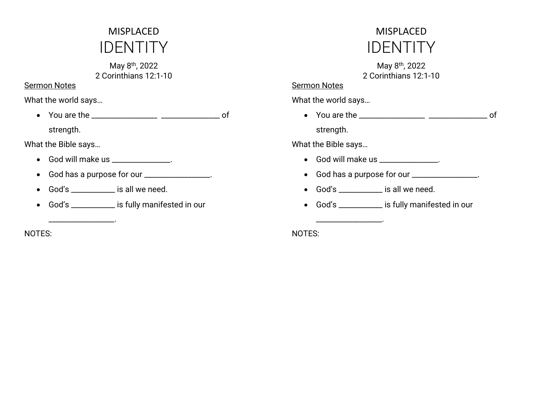# MISPLACED IDENTITY

### May 8<sup>th</sup>, 2022 2 Corinthians 12:1-10

## Sermon Notes

What the world says…

• You are the \_\_\_\_\_\_\_\_\_\_\_\_\_\_\_\_\_\_ \_\_\_\_\_\_\_\_\_\_\_\_\_\_\_\_ of strength.

What the Bible says…

- God will make us \_\_\_\_\_\_\_\_\_\_\_\_\_\_\_\_.
- God has a purpose for our \_\_\_\_\_\_\_\_\_\_\_\_\_\_\_\_.
- God's \_\_\_\_\_\_\_\_\_\_\_\_ is all we need.

\_\_\_\_\_\_\_\_\_\_\_\_\_\_\_\_\_\_.

• God's \_\_\_\_\_\_\_\_\_\_\_\_ is fully manifested in our

NOTES:

# MISPLACED IDENTITY

May 8th, 2022 2 Corinthians 12:1-10

#### Sermon Notes

What the world says…

• You are the \_\_\_\_\_\_\_\_\_\_\_\_\_\_\_\_\_\_ \_\_\_\_\_\_\_\_\_\_\_\_\_\_\_\_ of

strength.

What the Bible says…

- God will make us \_\_\_\_\_\_\_\_\_\_\_\_\_\_\_\_.
- God has a purpose for our \_\_\_\_\_\_\_\_\_\_\_\_\_\_\_\_.
- God's \_\_\_\_\_\_\_\_\_\_\_\_ is all we need.

\_\_\_\_\_\_\_\_\_\_\_\_\_\_\_\_\_\_.

• God's \_\_\_\_\_\_\_\_\_\_\_\_ is fully manifested in our

NOTES: